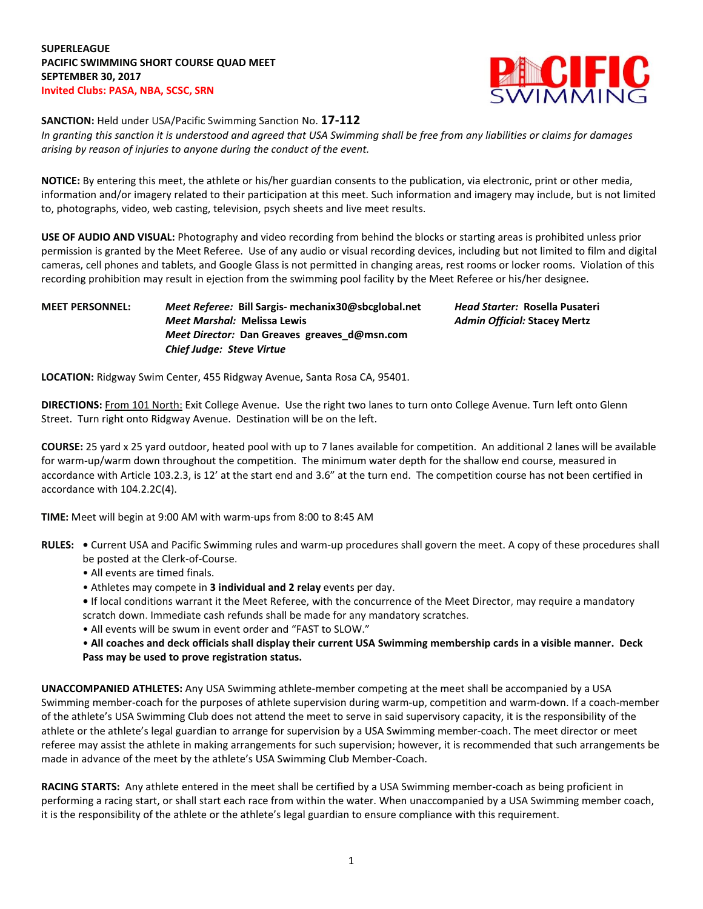

**SANCTION:** Held under USA/Pacific Swimming Sanction No. **17-112**

In granting this sanction it is understood and agreed that USA Swimming shall be free from any liabilities or claims for damages *arising by reason of injuries to anyone during the conduct of the event.*

**NOTICE:** By entering this meet, the athlete or his/her guardian consents to the publication, via electronic, print or other media, information and/or imagery related to their participation at this meet. Such information and imagery may include, but is not limited to, photographs, video, web casting, television, psych sheets and live meet results.

**USE OF AUDIO AND VISUAL:** Photography and video recording from behind the blocks or starting areas is prohibited unless prior permission is granted by the Meet Referee. Use of any audio or visual recording devices, including but not limited to film and digital cameras, cell phones and tablets, and Google Glass is not permitted in changing areas, rest rooms or locker rooms. Violation of this recording prohibition may result in ejection from the swimming pool facility by the Meet Referee or his/her designee.

## **MEET PERSONNEL:** *Meet Referee:* **Bill Sargis**- **[mechanix30@sbcglobal.net](mailto:mailto:mechanix30@sbcglobal.net)** *Head Starter:* **Rosella Pusateri** *Meet Marshal:* **Melissa Lewis** *Admin Official:* **Stacey Mertz** *Meet Director:* **Dan Greaves greaves\_d@msn.com** *Chief Judge: Steve Virtue*

**LOCATION:** Ridgway Swim Center, 455 Ridgway Avenue, Santa Rosa CA, 95401.

**DIRECTIONS:** From 101 North: Exit College Avenue. Use the right two lanes to turn onto College Avenue. Turn left onto Glenn Street. Turn right onto Ridgway Avenue. Destination will be on the left.

**COURSE:** 25 yard x 25 yard outdoor, heated pool with up to 7 lanes available for competition. An additional 2 lanes will be available for warm-up/warm down throughout the competition. The minimum water depth for the shallow end course, measured in accordance with Article 103.2.3, is 12' at the start end and 3.6" at the turn end. The competition course has not been certified in accordance with 104.2.2C(4).

**TIME:** Meet will begin at 9:00 AM with warm-ups from 8:00 to 8:45 AM

- **RULES: •** Current USA and Pacific Swimming rules and warm-up procedures shall govern the meet. A copy of these procedures shall be posted at the Clerk-of-Course.
	- All events are timed finals.
	- Athletes may compete in **3 individual and 2 relay** events per day.

**•** If local conditions warrant it the Meet Referee, with the concurrence of the Meet Director, may require a mandatory scratch down. Immediate cash refunds shall be made for any mandatory scratches.

• All events will be swum in event order and "FAST to SLOW."

. All coaches and deck officials shall display their current USA Swimming membership cards in a visible manner. Deck **Pass may be used to prove registration status.**

**UNACCOMPANIED ATHLETES:** Any USA Swimming athlete-member competing at the meet shall be accompanied by a USA Swimming member-coach for the purposes of athlete supervision during warm-up, competition and warm-down. If a coach-member of the athlete's USA Swimming Club does not attend the meet to serve in said supervisory capacity, it is the responsibility of the athlete or the athlete's legal guardian to arrange for supervision by a USA Swimming member-coach. The meet director or meet referee may assist the athlete in making arrangements for such supervision; however, it is recommended that such arrangements be made in advance of the meet by the athlete's USA Swimming Club Member-Coach.

**RACING STARTS:** Any athlete entered in the meet shall be certified by a USA Swimming member-coach as being proficient in performing a racing start, or shall start each race from within the water. When unaccompanied by a USA Swimming member coach, it is the responsibility of the athlete or the athlete's legal guardian to ensure compliance with this requirement.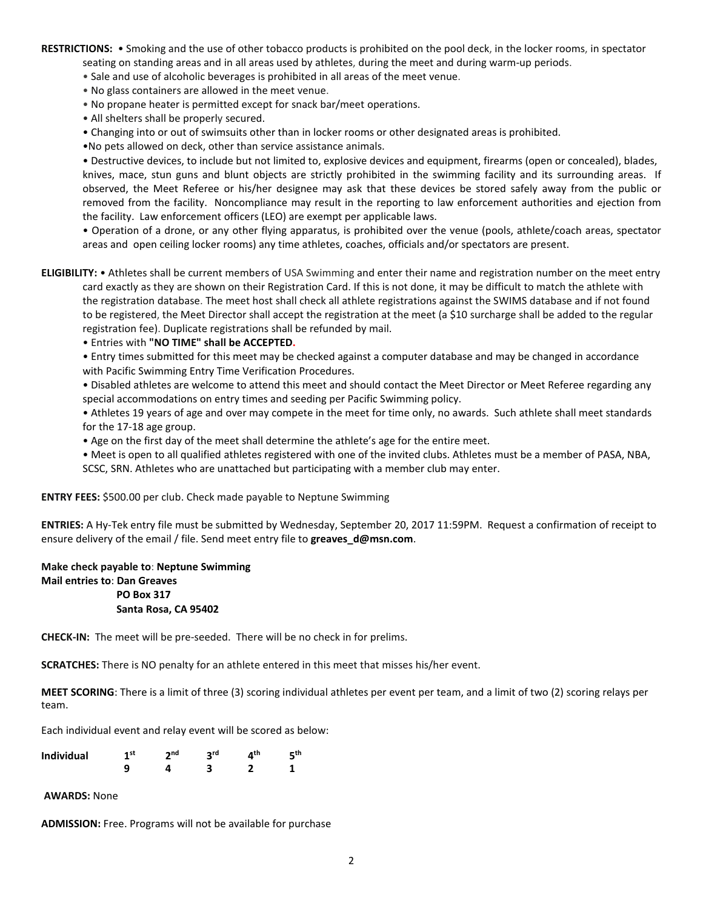**RESTRICTIONS:** • Smoking and the use of other tobacco products is prohibited on the pool deck, in the locker rooms, in spectator seating on standing areas and in all areas used by athletes, during the meet and during warm-up periods.

- Sale and use of alcoholic beverages is prohibited in all areas of the meet venue.
- No glass containers are allowed in the meet venue.
- No propane heater is permitted except for snack bar/meet operations.
- All shelters shall be properly secured.
- Changing into or out of swimsuits other than in locker rooms or other designated areas is prohibited.
- •No pets allowed on deck, other than service assistance animals.

• Destructive devices, to include but not limited to, explosive devices and equipment, firearms (open or concealed), blades, knives, mace, stun guns and blunt objects are strictly prohibited in the swimming facility and its surrounding areas. If observed, the Meet Referee or his/her designee may ask that these devices be stored safely away from the public or removed from the facility. Noncompliance may result in the reporting to law enforcement authorities and ejection from the facility. Law enforcement officers (LEO) are exempt per applicable laws.

• Operation of a drone, or any other flying apparatus, is prohibited over the venue (pools, athlete/coach areas, spectator areas and open ceiling locker rooms) any time athletes, coaches, officials and/or spectators are present.

**ELIGIBILITY:** • Athletes shall be current members of USA Swimming and enter their name and registration number on the meet entry card exactly as they are shown on their Registration Card. If this is not done, it may be difficult to match the athlete with the registration database. The meet host shall check all athlete registrations against the SWIMS database and if not found to be registered, the Meet Director shall accept the registration at the meet (a \$10 surcharge shall be added to the regular registration fee). Duplicate registrations shall be refunded by mail.

• Entries with **"NO TIME" shall be ACCEPTED.**

• Entry times submitted for this meet may be checked against a computer database and may be changed in accordance with Pacific Swimming Entry Time Verification Procedures.

• Disabled athletes are welcome to attend this meet and should contact the Meet Director or Meet Referee regarding any special accommodations on entry times and seeding per Pacific Swimming policy.

• Athletes 19 years of age and over may compete in the meet for time only, no awards. Such athlete shall meet standards for the 17-18 age group.

• Age on the first day of the meet shall determine the athlete's age for the entire meet.

• Meet is open to all qualified athletes registered with one of the invited clubs. Athletes must be a member of PASA, NBA, SCSC, SRN. Athletes who are unattached but participating with a member club may enter.

**ENTRY FEES:** \$500.00 per club. Check made payable to Neptune Swimming

**ENTRIES:** A Hy-Tek entry file must be submitted by Wednesday, September 20, 2017 11:59PM. Request a confirmation of receipt to ensure delivery of the email / file. Send meet entry file to **[greaves\\_d@msn.com](mailto:mailto:greaves_d@msn.com)**.

**Make check payable to**: **Neptune Swimming Mail entries to**: **Dan Greaves PO Box 317 Santa Rosa, CA 95402** 

**CHECK-IN:** The meet will be pre-seeded. There will be no check in for prelims.

**SCRATCHES:** There is NO penalty for an athlete entered in this meet that misses his/her event.

**MEET SCORING**: There is a limit of three (3) scoring individual athletes per event per team, and a limit of two (2) scoring relays per team.

Each individual event and relay event will be scored as below:

| <b>Individual</b> | 4 st | ∍nd | ıth | rth. |
|-------------------|------|-----|-----|------|
|                   |      |     |     |      |

**AWARDS:** None

**ADMISSION:** Free. Programs will not be available for purchase